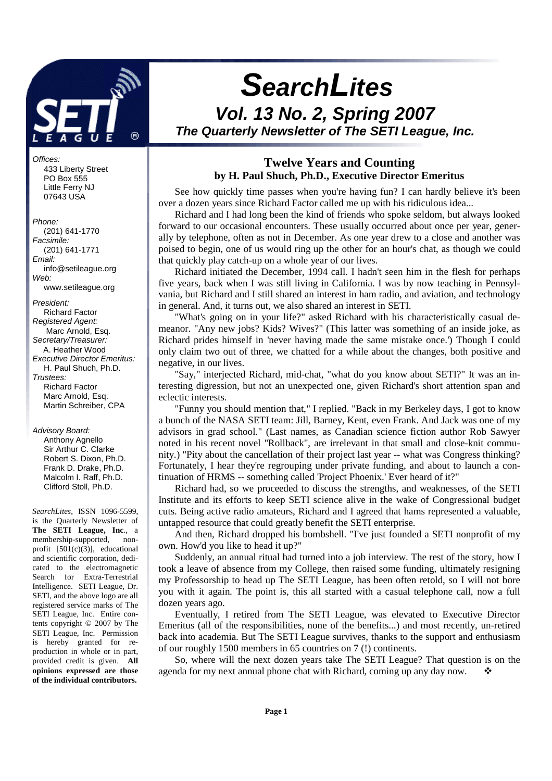

#### Offices:

 433 Liberty Street PO Box 555 Little Ferry NJ 07643 USA

#### Phone:

 (201) 641-1770 Facsimile: (201) 641-1771 Email: info@setileague.org Web: www.setileague.org President: Richard Factor Registered Agent: Marc Arnold, Esq. Secretary/Treasurer: A. Heather Wood Executive Director Emeritus: H. Paul Shuch, Ph.D. Trustees: Richard Factor Marc Arnold, Esq.

Advisory Board:

 Anthony Agnello Sir Arthur C. Clarke Robert S. Dixon, Ph.D. Frank D. Drake, Ph.D. Malcolm I. Raff, Ph.D. Clifford Stoll, Ph.D.

Martin Schreiber, CPA

*SearchLites*, ISSN 1096-5599, is the Quarterly Newsletter of **The SETI League, Inc**., a membership-supported, nonprofit  $[501(c)(3)]$ , educational and scientific corporation, dedicated to the electromagnetic Search for Extra-Terrestrial Intelligence. SETI League, Dr. SETI, and the above logo are all registered service marks of The SETI League, Inc. Entire contents copyright © 2007 by The SETI League, Inc. Permission is hereby granted for reproduction in whole or in part, provided credit is given. **All opinions expressed are those of the individual contributors.** 

# **SearchLites Vol. 13 No. 2, Spring 2007 The Quarterly Newsletter of The SETI League, Inc.**

### **Twelve Years and Counting by H. Paul Shuch, Ph.D., Executive Director Emeritus**

See how quickly time passes when you're having fun? I can hardly believe it's been over a dozen years since Richard Factor called me up with his ridiculous idea...

Richard and I had long been the kind of friends who spoke seldom, but always looked forward to our occasional encounters. These usually occurred about once per year, generally by telephone, often as not in December. As one year drew to a close and another was poised to begin, one of us would ring up the other for an hour's chat, as though we could that quickly play catch-up on a whole year of our lives.

Richard initiated the December, 1994 call. I hadn't seen him in the flesh for perhaps five years, back when I was still living in California. I was by now teaching in Pennsylvania, but Richard and I still shared an interest in ham radio, and aviation, and technology in general. And, it turns out, we also shared an interest in SETI.

"What's going on in your life?" asked Richard with his characteristically casual demeanor. "Any new jobs? Kids? Wives?" (This latter was something of an inside joke, as Richard prides himself in 'never having made the same mistake once.') Though I could only claim two out of three, we chatted for a while about the changes, both positive and negative, in our lives.

"Say," interjected Richard, mid-chat, "what do you know about SETI?" It was an interesting digression, but not an unexpected one, given Richard's short attention span and eclectic interests.

"Funny you should mention that," I replied. "Back in my Berkeley days, I got to know a bunch of the NASA SETI team: Jill, Barney, Kent, even Frank. And Jack was one of my advisors in grad school." (Last names, as Canadian science fiction author Rob Sawyer noted in his recent novel "Rollback", are irrelevant in that small and close-knit community.) "Pity about the cancellation of their project last year -- what was Congress thinking? Fortunately, I hear they're regrouping under private funding, and about to launch a continuation of HRMS -- something called 'Project Phoenix.' Ever heard of it?"

Richard had, so we proceeded to discuss the strengths, and weaknesses, of the SETI Institute and its efforts to keep SETI science alive in the wake of Congressional budget cuts. Being active radio amateurs, Richard and I agreed that hams represented a valuable, untapped resource that could greatly benefit the SETI enterprise.

And then, Richard dropped his bombshell. "I've just founded a SETI nonprofit of my own. How'd you like to head it up?"

Suddenly, an annual ritual had turned into a job interview. The rest of the story, how I took a leave of absence from my College, then raised some funding, ultimately resigning my Professorship to head up The SETI League, has been often retold, so I will not bore you with it again. The point is, this all started with a casual telephone call, now a full dozen years ago.

Eventually, I retired from The SETI League, was elevated to Executive Director Emeritus (all of the responsibilities, none of the benefits...) and most recently, un-retired back into academia. But The SETI League survives, thanks to the support and enthusiasm of our roughly 1500 members in 65 countries on 7 (!) continents.

So, where will the next dozen years take The SETI League? That question is on the agenda for my next annual phone chat with Richard, coming up any day now.  $\bullet$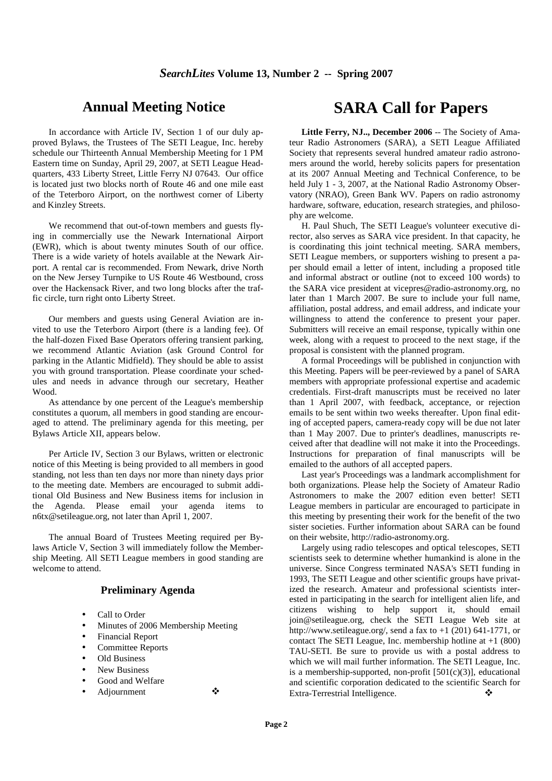## **Annual Meeting Notice**

In accordance with Article IV, Section 1 of our duly approved Bylaws, the Trustees of The SETI League, Inc. hereby schedule our Thirteenth Annual Membership Meeting for 1 PM Eastern time on Sunday, April 29, 2007, at SETI League Headquarters, 433 Liberty Street, Little Ferry NJ 07643. Our office is located just two blocks north of Route 46 and one mile east of the Teterboro Airport, on the northwest corner of Liberty and Kinzley Streets.

We recommend that out-of-town members and guests flying in commercially use the Newark International Airport (EWR), which is about twenty minutes South of our office. There is a wide variety of hotels available at the Newark Airport. A rental car is recommended. From Newark, drive North on the New Jersey Turnpike to US Route 46 Westbound, cross over the Hackensack River, and two long blocks after the traffic circle, turn right onto Liberty Street.

Our members and guests using General Aviation are invited to use the Teterboro Airport (there *is* a landing fee). Of the half-dozen Fixed Base Operators offering transient parking, we recommend Atlantic Aviation (ask Ground Control for parking in the Atlantic Midfield). They should be able to assist you with ground transportation. Please coordinate your schedules and needs in advance through our secretary, Heather Wood.

As attendance by one percent of the League's membership constitutes a quorum, all members in good standing are encouraged to attend. The preliminary agenda for this meeting, per Bylaws Article XII, appears below.

Per Article IV, Section 3 our Bylaws, written or electronic notice of this Meeting is being provided to all members in good standing, not less than ten days nor more than ninety days prior to the meeting date. Members are encouraged to submit additional Old Business and New Business items for inclusion in the Agenda. Please email your agenda items to n6tx@setileague.org, not later than April 1, 2007.

The annual Board of Trustees Meeting required per Bylaws Article V, Section 3 will immediately follow the Membership Meeting. All SETI League members in good standing are welcome to attend.

### **Preliminary Agenda**

- Call to Order
- Minutes of 2006 Membership Meeting
- Financial Report
- Committee Reports
- Old Business
- New Business
- Good and Welfare
- Adjournment

**SARA Call for Papers** 

**Little Ferry, NJ.., December 2006** -- The Society of Amateur Radio Astronomers (SARA), a SETI League Affiliated Society that represents several hundred amateur radio astronomers around the world, hereby solicits papers for presentation at its 2007 Annual Meeting and Technical Conference, to be held July 1 - 3, 2007, at the National Radio Astronomy Observatory (NRAO), Green Bank WV. Papers on radio astronomy hardware, software, education, research strategies, and philosophy are welcome.

H. Paul Shuch, The SETI League's volunteer executive director, also serves as SARA vice president. In that capacity, he is coordinating this joint technical meeting. SARA members, SETI League members, or supporters wishing to present a paper should email a letter of intent, including a proposed title and informal abstract or outline (not to exceed 100 words) to the SARA vice president at vicepres@radio-astronomy.org, no later than 1 March 2007. Be sure to include your full name, affiliation, postal address, and email address, and indicate your willingness to attend the conference to present your paper. Submitters will receive an email response, typically within one week, along with a request to proceed to the next stage, if the proposal is consistent with the planned program.

A formal Proceedings will be published in conjunction with this Meeting. Papers will be peer-reviewed by a panel of SARA members with appropriate professional expertise and academic credentials. First-draft manuscripts must be received no later than 1 April 2007, with feedback, acceptance, or rejection emails to be sent within two weeks thereafter. Upon final editing of accepted papers, camera-ready copy will be due not later than 1 May 2007. Due to printer's deadlines, manuscripts received after that deadline will not make it into the Proceedings. Instructions for preparation of final manuscripts will be emailed to the authors of all accepted papers.

Last year's Proceedings was a landmark accomplishment for both organizations. Please help the Society of Amateur Radio Astronomers to make the 2007 edition even better! SETI League members in particular are encouraged to participate in this meeting by presenting their work for the benefit of the two sister societies. Further information about SARA can be found on their website, http://radio-astronomy.org.

Largely using radio telescopes and optical telescopes, SETI scientists seek to determine whether humankind is alone in the universe. Since Congress terminated NASA's SETI funding in 1993, The SETI League and other scientific groups have privatized the research. Amateur and professional scientists interested in participating in the search for intelligent alien life, and citizens wishing to help support it, should email join@setileague.org, check the SETI League Web site at http://www.setileague.org/, send a fax to +1 (201) 641-1771, or contact The SETI League, Inc. membership hotline at  $+1$  (800) TAU-SETI. Be sure to provide us with a postal address to which we will mail further information. The SETI League, Inc. is a membership-supported, non-profit  $[501(c)(3)]$ , educational and scientific corporation dedicated to the scientific Search for Extra-Terrestrial Intelligence.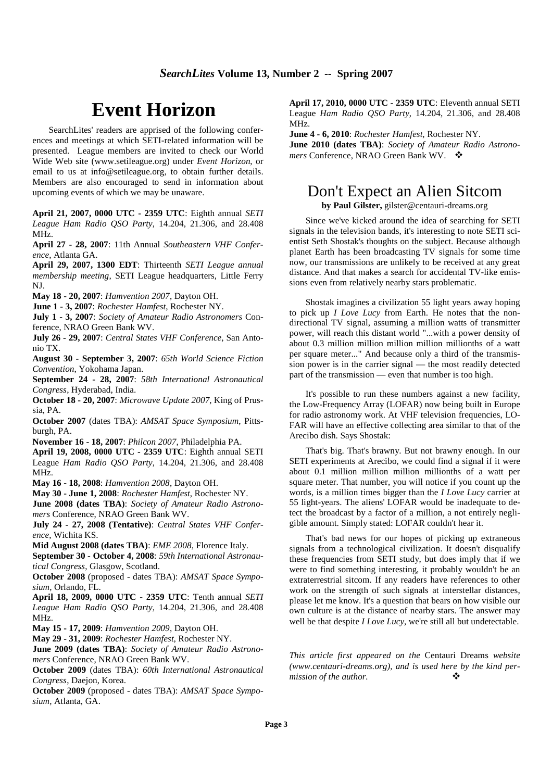# **Event Horizon**

SearchLites' readers are apprised of the following conferences and meetings at which SETI-related information will be presented. League members are invited to check our World Wide Web site (www.setileague.org) under *Event Horizon*, or email to us at info@setileague.org, to obtain further details. Members are also encouraged to send in information about upcoming events of which we may be unaware.

**April 21, 2007, 0000 UTC - 2359 UTC**: Eighth annual *SETI League Ham Radio QSO Party*, 14.204, 21.306, and 28.408 MHz.

**April 27 - 28, 2007**: 11th Annual *Southeastern VHF Conference*, Atlanta GA.

**April 29, 2007, 1300 EDT**: Thirteenth *SETI League annual membership meeting*, SETI League headquarters, Little Ferry NJ.

**May 18 - 20, 2007**: *Hamvention 2007*, Dayton OH.

**June 1 - 3, 2007**: *Rochester Hamfest*, Rochester NY.

**July 1 - 3, 2007**: *Society of Amateur Radio Astronomers* Conference, NRAO Green Bank WV.

**July 26 - 29, 2007**: *Central States VHF Conference*, San Antonio TX.

**August 30 - September 3, 2007**: *65th World Science Fiction Convention*, Yokohama Japan.

**September 24 - 28, 2007**: *58th International Astronautical Congress*, Hyderabad, India.

**October 18 - 20, 2007**: *Microwave Update 2007*, King of Prussia, PA.

**October 2007** (dates TBA): *AMSAT Space Symposium*, Pittsburgh, PA.

**November 16 - 18, 2007**: *Philcon 2007*, Philadelphia PA.

**April 19, 2008, 0000 UTC - 2359 UTC**: Eighth annual SETI League *Ham Radio QSO Party*, 14.204, 21.306, and 28.408 MHz.

**May 16 - 18, 2008**: *Hamvention 2008*, Dayton OH.

**May 30 - June 1, 2008**: *Rochester Hamfest*, Rochester NY.

**June 2008 (dates TBA)**: *Society of Amateur Radio Astronomers* Conference, NRAO Green Bank WV.

**July 24 - 27, 2008 (Tentative)**: *Central States VHF Conference*, Wichita KS.

**Mid August 2008 (dates TBA)**: *EME 2008*, Florence Italy.

**September 30 - October 4, 2008**: *59th International Astronautical Congress*, Glasgow, Scotland.

**October 2008** (proposed - dates TBA): *AMSAT Space Symposium*, Orlando, FL.

**April 18, 2009, 0000 UTC - 2359 UTC**: Tenth annual *SETI League Ham Radio QSO Party*, 14.204, 21.306, and 28.408 MHz.

**May 15 - 17, 2009**: *Hamvention 2009*, Dayton OH.

**May 29 - 31, 2009**: *Rochester Hamfest*, Rochester NY.

**June 2009 (dates TBA)**: *Society of Amateur Radio Astronomers* Conference, NRAO Green Bank WV.

**October 2009** (dates TBA): *60th International Astronautical Congress*, Daejon, Korea.

**October 2009** (proposed - dates TBA): *AMSAT Space Symposium*, Atlanta, GA.

**April 17, 2010, 0000 UTC - 2359 UTC**: Eleventh annual SETI League *Ham Radio QSO Party*, 14.204, 21.306, and 28.408 MHz.

**June 4 - 6, 2010**: *Rochester Hamfest*, Rochester NY. **June 2010 (dates TBA)**: *Society of Amateur Radio Astronomers* Conference, NRAO Green Bank WV.

# Don't Expect an Alien Sitcom

**by Paul Gilster,** gilster@centauri-dreams.org

Since we've kicked around the idea of searching for SETI signals in the television bands, it's interesting to note SETI scientist Seth Shostak's thoughts on the subject. Because although planet Earth has been broadcasting TV signals for some time now, our transmissions are unlikely to be received at any great distance. And that makes a search for accidental TV-like emissions even from relatively nearby stars problematic.

Shostak imagines a civilization 55 light years away hoping to pick up *I Love Lucy* from Earth. He notes that the nondirectional TV signal, assuming a million watts of transmitter power, will reach this distant world "...with a power density of about 0.3 million million million million millionths of a watt per square meter..." And because only a third of the transmission power is in the carrier signal — the most readily detected part of the transmission — even that number is too high.

It's possible to run these numbers against a new facility, the Low-Frequency Array (LOFAR) now being built in Europe for radio astronomy work. At VHF television frequencies, LO-FAR will have an effective collecting area similar to that of the Arecibo dish. Says Shostak:

That's big. That's brawny. But not brawny enough. In our SETI experiments at Arecibo, we could find a signal if it were about 0.1 million million million millionths of a watt per square meter. That number, you will notice if you count up the words, is a million times bigger than the *I Love Lucy* carrier at 55 light-years. The aliens' LOFAR would be inadequate to detect the broadcast by a factor of a million, a not entirely negligible amount. Simply stated: LOFAR couldn't hear it.

That's bad news for our hopes of picking up extraneous signals from a technological civilization. It doesn't disqualify these frequencies from SETI study, but does imply that if we were to find something interesting, it probably wouldn't be an extraterrestrial sitcom. If any readers have references to other work on the strength of such signals at interstellar distances, please let me know. It's a question that bears on how visible our own culture is at the distance of nearby stars. The answer may well be that despite *I Love Lucy*, we're still all but undetectable.

*This article first appeared on the* Centauri Dreams *website (www.centauri-dreams.org), and is used here by the kind permission of the author.*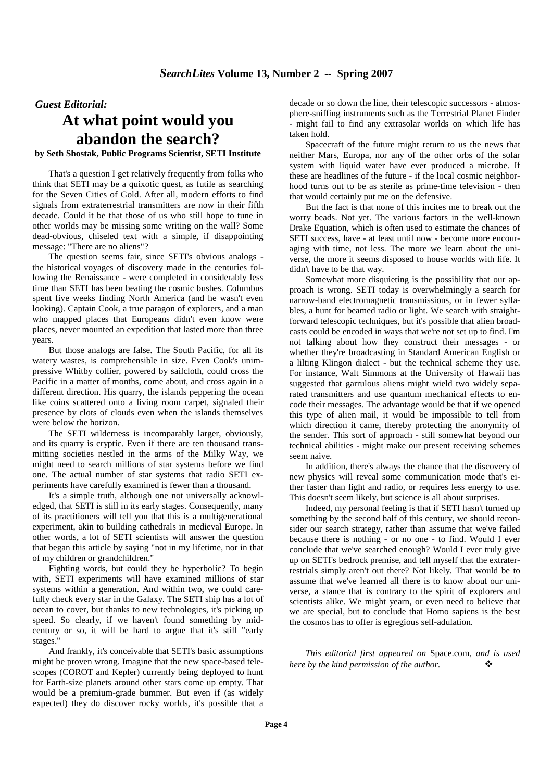### *Guest Editorial:*

# **At what point would you abandon the search?**

#### **by Seth Shostak, Public Programs Scientist, SETI Institute**

That's a question I get relatively frequently from folks who think that SETI may be a quixotic quest, as futile as searching for the Seven Cities of Gold. After all, modern efforts to find signals from extraterrestrial transmitters are now in their fifth decade. Could it be that those of us who still hope to tune in other worlds may be missing some writing on the wall? Some dead-obvious, chiseled text with a simple, if disappointing message: "There are no aliens"?

The question seems fair, since SETI's obvious analogs the historical voyages of discovery made in the centuries following the Renaissance - were completed in considerably less time than SETI has been beating the cosmic bushes. Columbus spent five weeks finding North America (and he wasn't even looking). Captain Cook, a true paragon of explorers, and a man who mapped places that Europeans didn't even know were places, never mounted an expedition that lasted more than three years.

But those analogs are false. The South Pacific, for all its watery wastes, is comprehensible in size. Even Cook's unimpressive Whitby collier, powered by sailcloth, could cross the Pacific in a matter of months, come about, and cross again in a different direction. His quarry, the islands peppering the ocean like coins scattered onto a living room carpet, signaled their presence by clots of clouds even when the islands themselves were below the horizon.

The SETI wilderness is incomparably larger, obviously, and its quarry is cryptic. Even if there are ten thousand transmitting societies nestled in the arms of the Milky Way, we might need to search millions of star systems before we find one. The actual number of star systems that radio SETI experiments have carefully examined is fewer than a thousand.

It's a simple truth, although one not universally acknowledged, that SETI is still in its early stages. Consequently, many of its practitioners will tell you that this is a multigenerational experiment, akin to building cathedrals in medieval Europe. In other words, a lot of SETI scientists will answer the question that began this article by saying "not in my lifetime, nor in that of my children or grandchildren."

Fighting words, but could they be hyperbolic? To begin with, SETI experiments will have examined millions of star systems within a generation. And within two, we could carefully check every star in the Galaxy. The SETI ship has a lot of ocean to cover, but thanks to new technologies, it's picking up speed. So clearly, if we haven't found something by midcentury or so, it will be hard to argue that it's still "early stages."

And frankly, it's conceivable that SETI's basic assumptions might be proven wrong. Imagine that the new space-based telescopes (COROT and Kepler) currently being deployed to hunt for Earth-size planets around other stars come up empty. That would be a premium-grade bummer. But even if (as widely expected) they do discover rocky worlds, it's possible that a decade or so down the line, their telescopic successors - atmosphere-sniffing instruments such as the Terrestrial Planet Finder might fail to find any extrasolar worlds on which life has taken hold.

Spacecraft of the future might return to us the news that neither Mars, Europa, nor any of the other orbs of the solar system with liquid water have ever produced a microbe. If these are headlines of the future - if the local cosmic neighborhood turns out to be as sterile as prime-time television - then that would certainly put me on the defensive.

But the fact is that none of this incites me to break out the worry beads. Not yet. The various factors in the well-known Drake Equation, which is often used to estimate the chances of SETI success, have - at least until now - become more encouraging with time, not less. The more we learn about the universe, the more it seems disposed to house worlds with life. It didn't have to be that way.

Somewhat more disquieting is the possibility that our approach is wrong. SETI today is overwhelmingly a search for narrow-band electromagnetic transmissions, or in fewer syllables, a hunt for beamed radio or light. We search with straightforward telescopic techniques, but it's possible that alien broadcasts could be encoded in ways that we're not set up to find. I'm not talking about how they construct their messages - or whether they're broadcasting in Standard American English or a lilting Klingon dialect - but the technical scheme they use. For instance, Walt Simmons at the University of Hawaii has suggested that garrulous aliens might wield two widely separated transmitters and use quantum mechanical effects to encode their messages. The advantage would be that if we opened this type of alien mail, it would be impossible to tell from which direction it came, thereby protecting the anonymity of the sender. This sort of approach - still somewhat beyond our technical abilities - might make our present receiving schemes seem naive.

In addition, there's always the chance that the discovery of new physics will reveal some communication mode that's either faster than light and radio, or requires less energy to use. This doesn't seem likely, but science is all about surprises.

Indeed, my personal feeling is that if SETI hasn't turned up something by the second half of this century, we should reconsider our search strategy, rather than assume that we've failed because there is nothing - or no one - to find. Would I ever conclude that we've searched enough? Would I ever truly give up on SETI's bedrock premise, and tell myself that the extraterrestrials simply aren't out there? Not likely. That would be to assume that we've learned all there is to know about our universe, a stance that is contrary to the spirit of explorers and scientists alike. We might yearn, or even need to believe that we are special, but to conclude that Homo sapiens is the best the cosmos has to offer is egregious self-adulation.

*This editorial first appeared on* Space.com*, and is used here by the kind permission of the author.*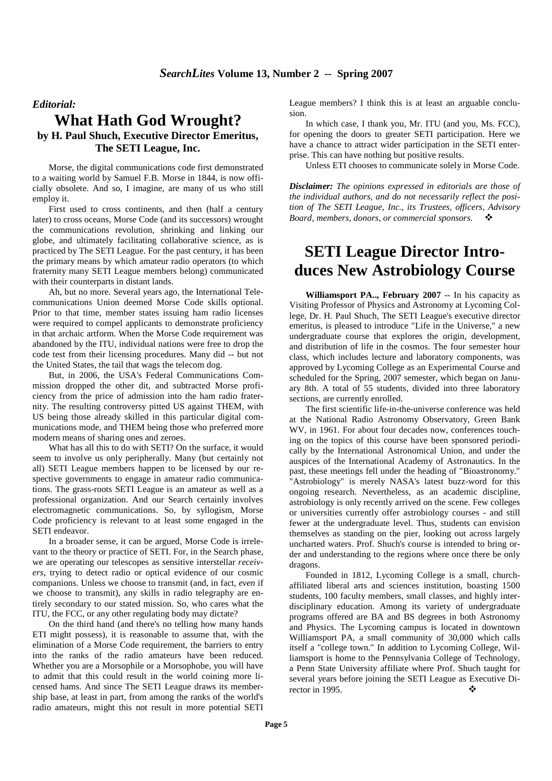### *Editorial:*

## **What Hath God Wrought? by H. Paul Shuch, Executive Director Emeritus, The SETI League, Inc.**

Morse, the digital communications code first demonstrated to a waiting world by Samuel F.B. Morse in 1844, is now officially obsolete. And so, I imagine, are many of us who still employ it.

First used to cross continents, and then (half a century later) to cross oceans, Morse Code (and its successors) wrought the communications revolution, shrinking and linking our globe, and ultimately facilitating collaborative science, as is practiced by The SETI League. For the past century, it has been the primary means by which amateur radio operators (to which fraternity many SETI League members belong) communicated with their counterparts in distant lands.

Ah, but no more. Several years ago, the International Telecommunications Union deemed Morse Code skills optional. Prior to that time, member states issuing ham radio licenses were required to compel applicants to demonstrate proficiency in that archaic artform. When the Morse Code requirement was abandoned by the ITU, individual nations were free to drop the code test from their licensing procedures. Many did -- but not the United States, the tail that wags the telecom dog.

But, in 2006, the USA's Federal Communications Commission dropped the other dit, and subtracted Morse proficiency from the price of admission into the ham radio fraternity. The resulting controversy pitted US against THEM, with US being those already skilled in this particular digital communications mode, and THEM being those who preferred more modern means of sharing ones and zeroes.

What has all this to do with SETI? On the surface, it would seem to involve us only peripherally. Many (but certainly not all) SETI League members happen to be licensed by our respective governments to engage in amateur radio communications. The grass-roots SETI League is an amateur as well as a professional organization. And our Search certainly involves electromagnetic communications. So, by syllogism, Morse Code proficiency is relevant to at least some engaged in the SETI endeavor.

In a broader sense, it can be argued, Morse Code is irrelevant to the theory or practice of SETI. For, in the Search phase, we are operating our telescopes as sensitive interstellar *receivers*, trying to detect radio or optical evidence of our cosmic companions. Unless we choose to transmit (and, in fact, *even* if we choose to transmit), any skills in radio telegraphy are entirely secondary to our stated mission. So, who cares what the ITU, the FCC, or any other regulating body may dictate?

On the third hand (and there's no telling how many hands ETI might possess), it is reasonable to assume that, with the elimination of a Morse Code requirement, the barriers to entry into the ranks of the radio amateurs have been reduced. Whether you are a Morsophile or a Morsophobe, you will have to admit that this could result in the world coining more licensed hams. And since The SETI League draws its membership base, at least in part, from among the ranks of the world's radio amateurs, might this not result in more potential SETI

League members? I think this is at least an arguable conclusion.

In which case, I thank you, Mr. ITU (and you, Ms. FCC), for opening the doors to greater SETI participation. Here we have a chance to attract wider participation in the SETI enterprise. This can have nothing but positive results.

Unless ETI chooses to communicate solely in Morse Code.

*Disclaimer: The opinions expressed in editorials are those of the individual authors, and do not necessarily reflect the position of The SETI League, Inc., its Trustees, officers, Advisory Board, members, donors, or commercial sponsors.*

# **SETI League Director Introduces New Astrobiology Course**

**Williamsport PA.., February 2007** -- In his capacity as Visiting Professor of Physics and Astronomy at Lycoming College, Dr. H. Paul Shuch, The SETI League's executive director emeritus, is pleased to introduce "Life in the Universe," a new undergraduate course that explores the origin, development, and distribution of life in the cosmos. The four semester hour class, which includes lecture and laboratory components, was approved by Lycoming College as an Experimental Course and scheduled for the Spring, 2007 semester, which began on January 8th. A total of 55 students, divided into three laboratory sections, are currently enrolled.

The first scientific life-in-the-universe conference was held at the National Radio Astronomy Observatory, Green Bank WV, in 1961. For about four decades now, conferences touching on the topics of this course have been sponsored periodically by the International Astronomical Union, and under the auspices of the International Academy of Astronautics. In the past, these meetings fell under the heading of "Bioastronomy." "Astrobiology" is merely NASA's latest buzz-word for this ongoing research. Nevertheless, as an academic discipline, astrobiology is only recently arrived on the scene. Few colleges or universities currently offer astrobiology courses - and still fewer at the undergraduate level. Thus, students can envision themselves as standing on the pier, looking out across largely uncharted waters. Prof. Shuch's course is intended to bring order and understanding to the regions where once there be only dragons.

Founded in 1812, Lycoming College is a small, churchaffiliated liberal arts and sciences institution, boasting 1500 students, 100 faculty members, small classes, and highly interdisciplinary education. Among its variety of undergraduate programs offered are BA and BS degrees in both Astronomy and Physics. The Lycoming campus is located in downtown Williamsport PA, a small community of 30,000 which calls itself a "college town." In addition to Lycoming College, Williamsport is home to the Pennsylvania College of Technology, a Penn State University affiliate where Prof. Shuch taught for several years before joining the SETI League as Executive Director in 1995. ◆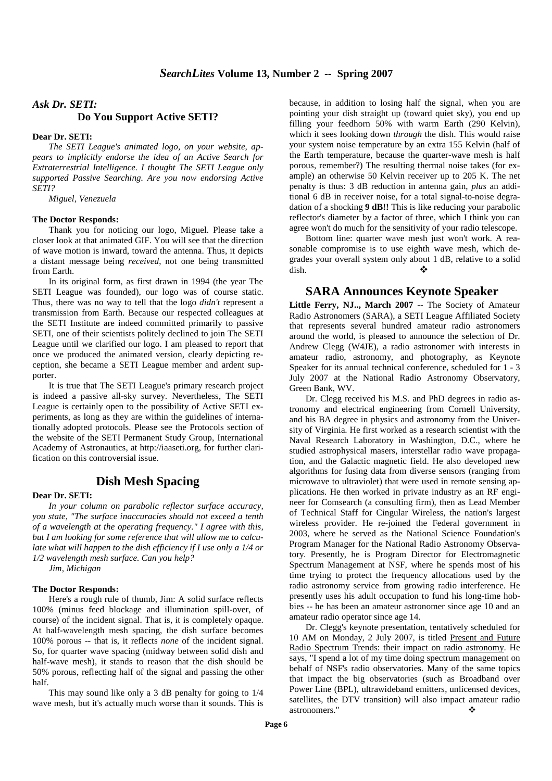## *Ask Dr. SETI:*  **Do You Support Active SETI?**

#### **Dear Dr. SETI:**

*The SETI League's animated logo, on your website, appears to implicitly endorse the idea of an Active Search for Extraterrestrial Intelligence. I thought The SETI League only supported Passive Searching. Are you now endorsing Active SETI?* 

*Miguel, Venezuela*

#### **The Doctor Responds:**

Thank you for noticing our logo, Miguel. Please take a closer look at that animated GIF. You will see that the direction of wave motion is inward, toward the antenna. Thus, it depicts a distant message being *received*, not one being transmitted from Earth.

In its original form, as first drawn in 1994 (the year The SETI League was founded), our logo was of course static. Thus, there was no way to tell that the logo *didn't* represent a transmission from Earth. Because our respected colleagues at the SETI Institute are indeed committed primarily to passive SETI, one of their scientists politely declined to join The SETI League until we clarified our logo. I am pleased to report that once we produced the animated version, clearly depicting reception, she became a SETI League member and ardent supporter.

It is true that The SETI League's primary research project is indeed a passive all-sky survey. Nevertheless, The SETI League is certainly open to the possibility of Active SETI experiments, as long as they are within the guidelines of internationally adopted protocols. Please see the Protocols section of the website of the SETI Permanent Study Group, International Academy of Astronautics, at http://iaaseti.org, for further clarification on this controversial issue.

### **Dish Mesh Spacing**

#### **Dear Dr. SETI:**

*In your column on parabolic reflector surface accuracy, you state, "The surface inaccuracies should not exceed a tenth of a wavelength at the operating frequency." I agree with this, but I am looking for some reference that will allow me to calculate what will happen to the dish efficiency if I use only a 1/4 or 1/2 wavelength mesh surface. Can you help?* 

*Jim, Michigan* 

#### **The Doctor Responds:**

Here's a rough rule of thumb, Jim: A solid surface reflects 100% (minus feed blockage and illumination spill-over, of course) of the incident signal. That is, it is completely opaque. At half-wavelength mesh spacing, the dish surface becomes 100% porous -- that is, it reflects *none* of the incident signal. So, for quarter wave spacing (midway between solid dish and half-wave mesh), it stands to reason that the dish should be 50% porous, reflecting half of the signal and passing the other half.

This may sound like only a 3 dB penalty for going to 1/4 wave mesh, but it's actually much worse than it sounds. This is

because, in addition to losing half the signal, when you are pointing your dish straight up (toward quiet sky), you end up filling your feedhorn 50% with warm Earth (290 Kelvin), which it sees looking down *through* the dish. This would raise your system noise temperature by an extra 155 Kelvin (half of the Earth temperature, because the quarter-wave mesh is half porous, remember?) The resulting thermal noise takes (for example) an otherwise 50 Kelvin receiver up to 205 K. The net penalty is thus: 3 dB reduction in antenna gain, *plus* an additional 6 dB in receiver noise, for a total signal-to-noise degradation of a shocking **9 dB!!** This is like reducing your parabolic reflector's diameter by a factor of three, which I think you can agree won't do much for the sensitivity of your radio telescope.

Bottom line: quarter wave mesh just won't work. A reasonable compromise is to use eighth wave mesh, which degrades your overall system only about 1 dB, relative to a solid dish.  $\bullet$ 

### **SARA Announces Keynote Speaker**

**Little Ferry, NJ.., March 2007** -- The Society of Amateur Radio Astronomers (SARA), a SETI League Affiliated Society that represents several hundred amateur radio astronomers around the world, is pleased to announce the selection of Dr. Andrew Clegg (W4JE), a radio astronomer with interests in amateur radio, astronomy, and photography, as Keynote Speaker for its annual technical conference, scheduled for 1 - 3 July 2007 at the National Radio Astronomy Observatory, Green Bank, WV.

Dr. Clegg received his M.S. and PhD degrees in radio astronomy and electrical engineering from Cornell University, and his BA degree in physics and astronomy from the University of Virginia. He first worked as a research scientist with the Naval Research Laboratory in Washington, D.C., where he studied astrophysical masers, interstellar radio wave propagation, and the Galactic magnetic field. He also developed new algorithms for fusing data from diverse sensors (ranging from microwave to ultraviolet) that were used in remote sensing applications. He then worked in private industry as an RF engineer for Comsearch (a consulting firm), then as Lead Member of Technical Staff for Cingular Wireless, the nation's largest wireless provider. He re-joined the Federal government in 2003, where he served as the National Science Foundation's Program Manager for the National Radio Astronomy Observatory. Presently, he is Program Director for Electromagnetic Spectrum Management at NSF, where he spends most of his time trying to protect the frequency allocations used by the radio astronomy service from growing radio interference. He presently uses his adult occupation to fund his long-time hobbies -- he has been an amateur astronomer since age 10 and an amateur radio operator since age 14.

Dr. Clegg's keynote presentation, tentatively scheduled for 10 AM on Monday, 2 July 2007, is titled Present and Future Radio Spectrum Trends: their impact on radio astronomy. He says, "I spend a lot of my time doing spectrum management on behalf of NSF's radio observatories. Many of the same topics that impact the big observatories (such as Broadband over Power Line (BPL), ultrawideband emitters, unlicensed devices, satellites, the DTV transition) will also impact amateur radio astronomers."